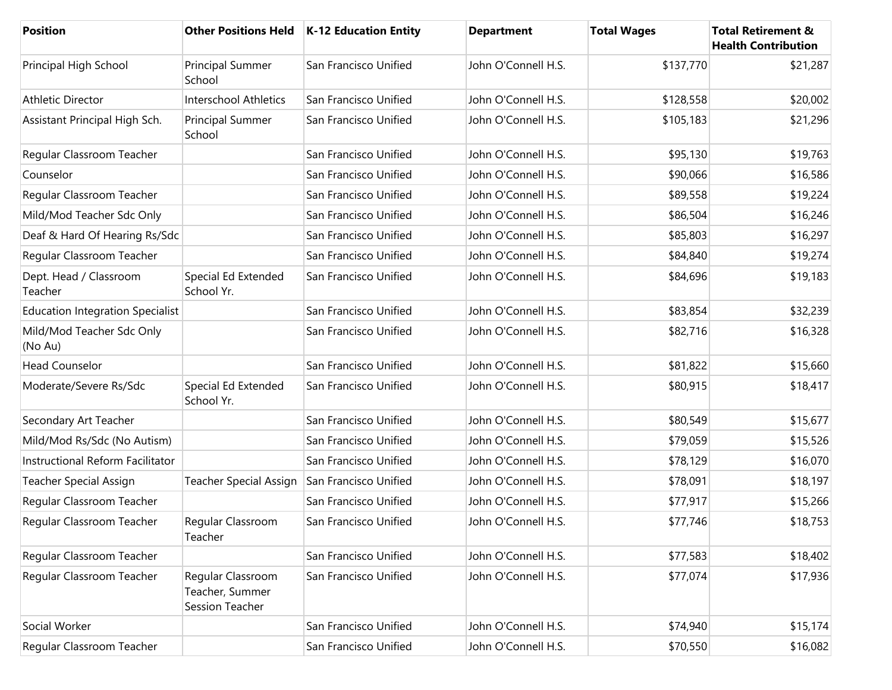| Position                                |                                                         | Other Positions Held   K-12 Education Entity | <b>Department</b>   | <b>Total Wages</b> | <b>Total Retirement &amp;</b><br><b>Health Contribution</b> |
|-----------------------------------------|---------------------------------------------------------|----------------------------------------------|---------------------|--------------------|-------------------------------------------------------------|
| Principal High School                   | Principal Summer<br>School                              | San Francisco Unified                        | John O'Connell H.S. | \$137,770          | \$21,287                                                    |
| <b>Athletic Director</b>                | <b>Interschool Athletics</b>                            | San Francisco Unified                        | John O'Connell H.S. | \$128,558          | \$20,002                                                    |
| Assistant Principal High Sch.           | Principal Summer<br>School                              | San Francisco Unified                        | John O'Connell H.S. | \$105,183          | \$21,296                                                    |
| Regular Classroom Teacher               |                                                         | San Francisco Unified                        | John O'Connell H.S. | \$95,130           | \$19,763                                                    |
| Counselor                               |                                                         | San Francisco Unified                        | John O'Connell H.S. | \$90,066           | \$16,586                                                    |
| Regular Classroom Teacher               |                                                         | San Francisco Unified                        | John O'Connell H.S. | \$89,558           | \$19,224                                                    |
| Mild/Mod Teacher Sdc Only               |                                                         | San Francisco Unified                        | John O'Connell H.S. | \$86,504           | \$16,246                                                    |
| Deaf & Hard Of Hearing Rs/Sdc           |                                                         | San Francisco Unified                        | John O'Connell H.S. | \$85,803           | \$16,297                                                    |
| Regular Classroom Teacher               |                                                         | San Francisco Unified                        | John O'Connell H.S. | \$84,840           | \$19,274                                                    |
| Dept. Head / Classroom<br>Teacher       | Special Ed Extended<br>School Yr.                       | San Francisco Unified                        | John O'Connell H.S. | \$84,696           | \$19,183                                                    |
| <b>Education Integration Specialist</b> |                                                         | San Francisco Unified                        | John O'Connell H.S. | \$83,854           | \$32,239                                                    |
| Mild/Mod Teacher Sdc Only<br>(No Au)    |                                                         | San Francisco Unified                        | John O'Connell H.S. | \$82,716           | \$16,328                                                    |
| <b>Head Counselor</b>                   |                                                         | San Francisco Unified                        | John O'Connell H.S. | \$81,822           | \$15,660                                                    |
| Moderate/Severe Rs/Sdc                  | Special Ed Extended<br>School Yr.                       | San Francisco Unified                        | John O'Connell H.S. | \$80,915           | \$18,417                                                    |
| Secondary Art Teacher                   |                                                         | San Francisco Unified                        | John O'Connell H.S. | \$80,549           | \$15,677                                                    |
| Mild/Mod Rs/Sdc (No Autism)             |                                                         | San Francisco Unified                        | John O'Connell H.S. | \$79,059           | \$15,526                                                    |
| Instructional Reform Facilitator        |                                                         | San Francisco Unified                        | John O'Connell H.S. | \$78,129           | \$16,070                                                    |
| <b>Teacher Special Assign</b>           | Teacher Special Assign                                  | San Francisco Unified                        | John O'Connell H.S. | \$78,091           | \$18,197                                                    |
| Regular Classroom Teacher               |                                                         | San Francisco Unified                        | John O'Connell H.S. | \$77,917           | \$15,266                                                    |
| Regular Classroom Teacher               | Regular Classroom<br>Teacher                            | San Francisco Unified                        | John O'Connell H.S. | \$77,746           | \$18,753                                                    |
| Regular Classroom Teacher               |                                                         | San Francisco Unified                        | John O'Connell H.S. | \$77,583           | \$18,402                                                    |
| Regular Classroom Teacher               | Regular Classroom<br>Teacher, Summer<br>Session Teacher | San Francisco Unified                        | John O'Connell H.S. | \$77,074           | \$17,936                                                    |
| Social Worker                           |                                                         | San Francisco Unified                        | John O'Connell H.S. | \$74,940           | \$15,174                                                    |
| Regular Classroom Teacher               |                                                         | San Francisco Unified                        | John O'Connell H.S. | \$70,550           | \$16,082                                                    |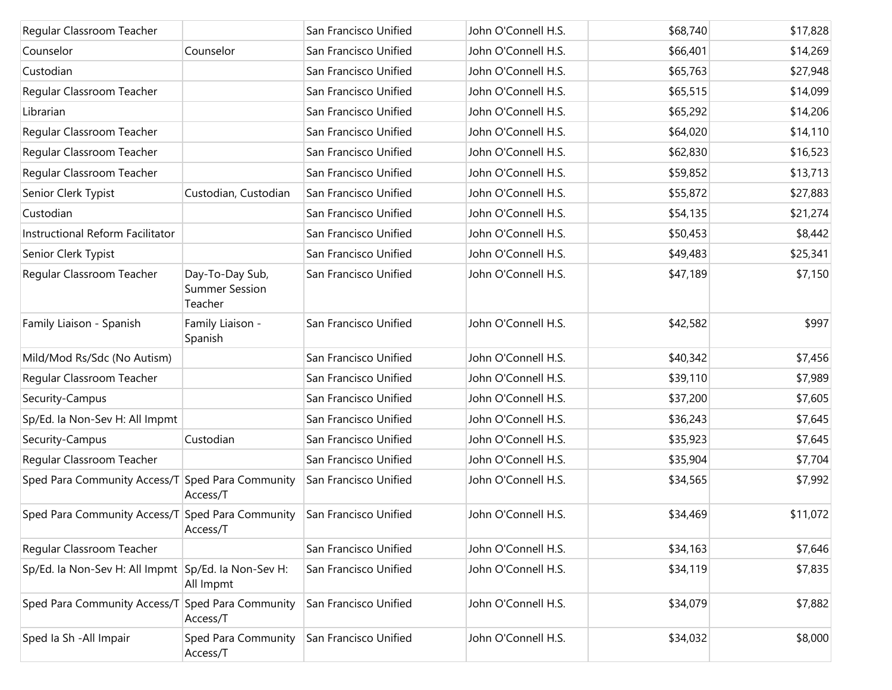| Regular Classroom Teacher                           |                                                     | San Francisco Unified | John O'Connell H.S. | \$68,740 | \$17,828 |
|-----------------------------------------------------|-----------------------------------------------------|-----------------------|---------------------|----------|----------|
| Counselor                                           | Counselor                                           | San Francisco Unified | John O'Connell H.S. | \$66,401 | \$14,269 |
| Custodian                                           |                                                     | San Francisco Unified | John O'Connell H.S. | \$65,763 | \$27,948 |
| Regular Classroom Teacher                           |                                                     | San Francisco Unified | John O'Connell H.S. | \$65,515 | \$14,099 |
| Librarian                                           |                                                     | San Francisco Unified | John O'Connell H.S. | \$65,292 | \$14,206 |
| Regular Classroom Teacher                           |                                                     | San Francisco Unified | John O'Connell H.S. | \$64,020 | \$14,110 |
| Regular Classroom Teacher                           |                                                     | San Francisco Unified | John O'Connell H.S. | \$62,830 | \$16,523 |
| Regular Classroom Teacher                           |                                                     | San Francisco Unified | John O'Connell H.S. | \$59,852 | \$13,713 |
| Senior Clerk Typist                                 | Custodian, Custodian                                | San Francisco Unified | John O'Connell H.S. | \$55,872 | \$27,883 |
| Custodian                                           |                                                     | San Francisco Unified | John O'Connell H.S. | \$54,135 | \$21,274 |
| Instructional Reform Facilitator                    |                                                     | San Francisco Unified | John O'Connell H.S. | \$50,453 | \$8,442  |
| Senior Clerk Typist                                 |                                                     | San Francisco Unified | John O'Connell H.S. | \$49,483 | \$25,341 |
| Regular Classroom Teacher                           | Day-To-Day Sub,<br><b>Summer Session</b><br>Teacher | San Francisco Unified | John O'Connell H.S. | \$47,189 | \$7,150  |
| Family Liaison - Spanish                            | Family Liaison -<br>Spanish                         | San Francisco Unified | John O'Connell H.S. | \$42,582 | \$997    |
| Mild/Mod Rs/Sdc (No Autism)                         |                                                     | San Francisco Unified | John O'Connell H.S. | \$40,342 | \$7,456  |
| Regular Classroom Teacher                           |                                                     | San Francisco Unified | John O'Connell H.S. | \$39,110 | \$7,989  |
| Security-Campus                                     |                                                     | San Francisco Unified | John O'Connell H.S. | \$37,200 | \$7,605  |
| Sp/Ed. Ia Non-Sev H: All Impmt                      |                                                     | San Francisco Unified | John O'Connell H.S. | \$36,243 | \$7,645  |
| Security-Campus                                     | Custodian                                           | San Francisco Unified | John O'Connell H.S. | \$35,923 | \$7,645  |
| Regular Classroom Teacher                           |                                                     | San Francisco Unified | John O'Connell H.S. | \$35,904 | \$7,704  |
| Sped Para Community Access/T Sped Para Community    | Access/T                                            | San Francisco Unified | John O'Connell H.S. | \$34,565 | \$7,992  |
| Sped Para Community Access/T Sped Para Community    | Access/T                                            | San Francisco Unified | John O'Connell H.S. | \$34,469 | \$11,072 |
| Regular Classroom Teacher                           |                                                     | San Francisco Unified | John O'Connell H.S. | \$34,163 | \$7,646  |
| Sp/Ed. Ia Non-Sev H: All Impmt Sp/Ed. Ia Non-Sev H: | All Impmt                                           | San Francisco Unified | John O'Connell H.S. | \$34,119 | \$7,835  |
| Sped Para Community Access/T                        | Sped Para Community<br>Access/T                     | San Francisco Unified | John O'Connell H.S. | \$34,079 | \$7,882  |
| Sped Ia Sh - All Impair                             | Sped Para Community<br>Access/T                     | San Francisco Unified | John O'Connell H.S. | \$34,032 | \$8,000  |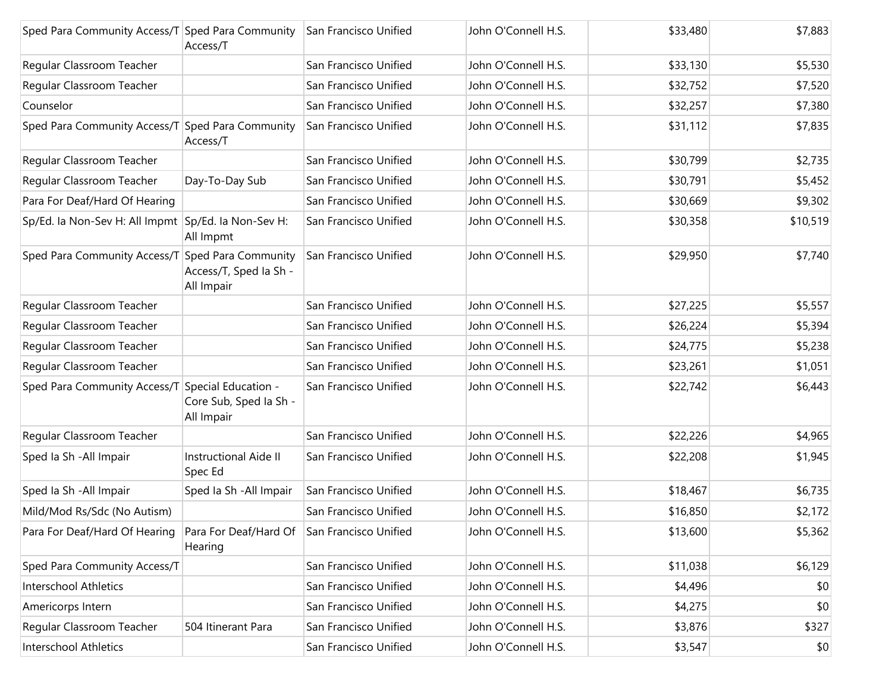| Sped Para Community Access/T Sped Para Community    | Access/T                                                    | San Francisco Unified | John O'Connell H.S. | \$33,480 | \$7,883  |
|-----------------------------------------------------|-------------------------------------------------------------|-----------------------|---------------------|----------|----------|
| Regular Classroom Teacher                           |                                                             | San Francisco Unified | John O'Connell H.S. | \$33,130 | \$5,530  |
| Regular Classroom Teacher                           |                                                             | San Francisco Unified | John O'Connell H.S. | \$32,752 | \$7,520  |
| Counselor                                           |                                                             | San Francisco Unified | John O'Connell H.S. | \$32,257 | \$7,380  |
| Sped Para Community Access/T Sped Para Community    | Access/T                                                    | San Francisco Unified | John O'Connell H.S. | \$31,112 | \$7,835  |
| Regular Classroom Teacher                           |                                                             | San Francisco Unified | John O'Connell H.S. | \$30,799 | \$2,735  |
| Regular Classroom Teacher                           | Day-To-Day Sub                                              | San Francisco Unified | John O'Connell H.S. | \$30,791 | \$5,452  |
| Para For Deaf/Hard Of Hearing                       |                                                             | San Francisco Unified | John O'Connell H.S. | \$30,669 | \$9,302  |
| Sp/Ed. Ia Non-Sev H: All Impmt Sp/Ed. Ia Non-Sev H: | All Impmt                                                   | San Francisco Unified | John O'Connell H.S. | \$30,358 | \$10,519 |
| Sped Para Community Access/T Sped Para Community    | Access/T, Sped Ia Sh -<br>All Impair                        | San Francisco Unified | John O'Connell H.S. | \$29,950 | \$7,740  |
| Regular Classroom Teacher                           |                                                             | San Francisco Unified | John O'Connell H.S. | \$27,225 | \$5,557  |
| Regular Classroom Teacher                           |                                                             | San Francisco Unified | John O'Connell H.S. | \$26,224 | \$5,394  |
| Regular Classroom Teacher                           |                                                             | San Francisco Unified | John O'Connell H.S. | \$24,775 | \$5,238  |
| Regular Classroom Teacher                           |                                                             | San Francisco Unified | John O'Connell H.S. | \$23,261 | \$1,051  |
| Sped Para Community Access/T                        | Special Education -<br>Core Sub, Sped Ia Sh -<br>All Impair | San Francisco Unified | John O'Connell H.S. | \$22,742 | \$6,443  |
| Regular Classroom Teacher                           |                                                             | San Francisco Unified | John O'Connell H.S. | \$22,226 | \$4,965  |
| Sped Ia Sh - All Impair                             | <b>Instructional Aide II</b><br>Spec Ed                     | San Francisco Unified | John O'Connell H.S. | \$22,208 | \$1,945  |
| Sped la Sh - All Impair                             | Sped la Sh - All Impair                                     | San Francisco Unified | John O'Connell H.S. | \$18,467 | \$6,735  |
| Mild/Mod Rs/Sdc (No Autism)                         |                                                             | San Francisco Unified | John O'Connell H.S. | \$16,850 | \$2,172  |
| Para For Deaf/Hard Of Hearing                       | Para For Deaf/Hard Of San Francisco Unified<br>Hearing      |                       | John O'Connell H.S. | \$13,600 | \$5,362  |
| Sped Para Community Access/T                        |                                                             | San Francisco Unified | John O'Connell H.S. | \$11,038 | \$6,129  |
| <b>Interschool Athletics</b>                        |                                                             | San Francisco Unified | John O'Connell H.S. | \$4,496  | \$0      |
| Americorps Intern                                   |                                                             | San Francisco Unified | John O'Connell H.S. | \$4,275  | \$0      |
| Regular Classroom Teacher                           | 504 Itinerant Para                                          | San Francisco Unified | John O'Connell H.S. | \$3,876  | \$327    |
| Interschool Athletics                               |                                                             | San Francisco Unified | John O'Connell H.S. | \$3,547  | \$0      |